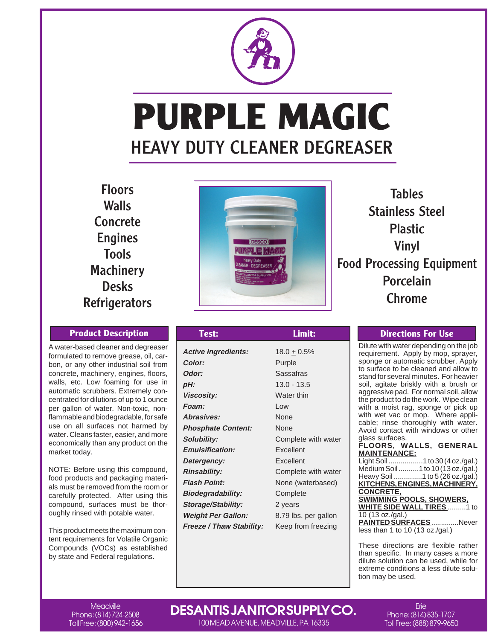

# **PURPLE MAGIC** HEAVY DUTY CLEANER DEGREASER

Floors **Walls Concrete** Engines Tools **Machinery** Desks **Refrigerators** 

A water-based cleaner and degreaser formulated to remove grease, oil, carbon, or any other industrial soil from concrete, machinery, engines, floors, walls, etc. Low foaming for use in automatic scrubbers. Extremely concentrated for dilutions of up to 1 ounce per gallon of water. Non-toxic, nonflammable and biodegradable, for safe use on all surfaces not harmed by water. Cleans faster, easier, and more economically than any product on the market today.

NOTE: Before using this compound, food products and packaging materials must be removed from the room or carefully protected. After using this compound, surfaces must be thoroughly rinsed with potable water.

This product meets the maximum content requirements for Volatile Organic Compounds (VOCs) as established by state and Federal regulations.



Tables Stainless Steel Plastic Vinyl Food Processing Equipment Porcelain Chrome

| <b>Product Description</b>                                                                                                                                                                                                                                                           | <b>Test:</b>                                                                                                                                                        | Limit:                                                                                                        | <b>Directions For Use</b>                                                                                                                                                                                                                                                                                                          |
|--------------------------------------------------------------------------------------------------------------------------------------------------------------------------------------------------------------------------------------------------------------------------------------|---------------------------------------------------------------------------------------------------------------------------------------------------------------------|---------------------------------------------------------------------------------------------------------------|------------------------------------------------------------------------------------------------------------------------------------------------------------------------------------------------------------------------------------------------------------------------------------------------------------------------------------|
| er-based cleaner and degreaser<br>ated to remove grease, oil, car-<br>r any other industrial soil from<br>ete, machinery, engines, floors,<br>etc. Low foaming for use in<br>atic scrubbers. Extremely con-<br>ted for dilutions of up to 1 ounce<br>allon of water. Non-toxic, non- | <b>Active Ingredients:</b><br>Color:<br>Odor:<br>pH:<br><b>Viscosity:</b><br>Foam:<br>Abrasives:                                                                    | $18.0 \pm 0.5\%$<br>Purple<br><b>Sassafras</b><br>$13.0 - 13.5$<br>Water thin<br>Low<br>None                  | Dilute with water depending or<br>requirement. Apply by mop, s<br>sponge or automatic scrubbe<br>to surface to be cleaned and<br>stand for several minutes. For<br>soil, agitate briskly with a b<br>aggressive pad. For normal sc<br>the product to do the work. Wip<br>with a moist rag, sponge or<br>with wet vac or mop. Where |
| able and biodegradable, for safe<br>n all surfaces not harmed by<br>Cleans faster, easier, and more<br>mically than any product on the<br>t today.                                                                                                                                   | <b>Phosphate Content:</b><br>Solubility:<br><b>Emulsification:</b><br>Detergency:                                                                                   | None<br>Complete with water<br>Excellent<br>Excellent                                                         | cable; rinse thoroughly with<br>Avoid contact with windows o<br>glass surfaces.<br>FLOORS, WALLS, GEN<br><b>MAINTENANCE:</b><br>Light Soil 1 to 30 (4 of                                                                                                                                                                           |
| : Before using this compound,<br>roducts and packaging materi-<br>ist be removed from the room or<br>Ily protected. After using this<br>bund, surfaces must be thor-<br>insed with potable water.<br>roduct meets the maximum con-                                                   | <b>Rinsability:</b><br><b>Flash Point:</b><br><b>Biodegradability:</b><br><b>Storage/Stability:</b><br><b>Weight Per Gallon:</b><br><b>Freeze / Thaw Stability:</b> | Complete with water<br>None (waterbased)<br>Complete<br>2 years<br>8.79 lbs. per gallon<br>Keep from freezing | Medium Soil 1 to 10 (13 d<br>Heavy Soil 1 to 5 (26 of<br><u>KITCHENS, ENGINES, MACH</u><br><b>CONCRETE,</b><br><b>SWIMMING POOLS, SHOWE</b><br><b>WHITE SIDE WALL TIRES</b><br>10 (13 oz./gal.)<br><b>PAINTED SURFACES </b><br>less than 1 to 10 $(13 \text{ oz./gal.})$                                                           |

Dilute with water depending on the job requirement. Apply by mop, sprayer, sponge or automatic scrubber. Apply to surface to be cleaned and allow to stand for several minutes. For heavier soil, agitate briskly with a brush or aggressive pad. For normal soil, allow the product to do the work. Wipe clean with a moist rag, sponge or pick up with wet vac or mop. Where applicable; rinse thoroughly with water. Avoid contact with windows or other glass surfaces.

#### **FLOORS, WALLS, GENERAL MAINTENANCE:**  $1 to 30 / 4$  oz./gal)

| Light Soll  Ltd 30 (4 02./gal.)   |
|-----------------------------------|
| Medium Soil 1 to 10 (13 oz./gal.) |
| Heavy Soil 1 to 5 (26 oz./gal.)   |
| KITCHENS, ENGINES, MACHINERY,     |
| <b>CONCRETE,</b>                  |
| <b>SWIMMING POOLS, SHOWERS,</b>   |
| <b>WHITE SIDE WALL TIRES 1 to</b> |
| 10 (13 oz./gal.)                  |
| PAINTED SURFACESNever             |
| less than 1 to 10 $(13 oz./gal.)$ |
|                                   |

These directions are flexible rather than specific. In many cases a more dilute solution can be used, while for extreme conditions a less dilute solution may be used.

Meadville Phone: (814) 724-2508 Toll Free: (800) 942-1656

# **DESANTIS JANITOR SUPPLY CO.**

100 MEAD AVENUE, MEADVILLE, PA 16335

**Frie** Phone: (814) 835-1707 Toll Free: (888) 879-9650